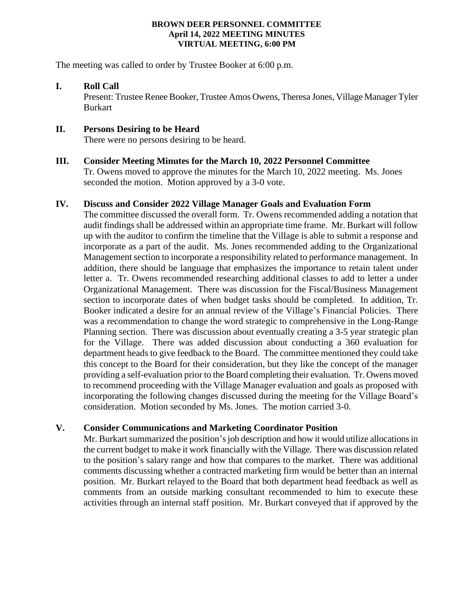#### **BROWN DEER PERSONNEL COMMITTEE April 14, 2022 MEETING MINUTES VIRTUAL MEETING, 6:00 PM**

The meeting was called to order by Trustee Booker at 6:00 p.m.

# **I. Roll Call**

Present: Trustee Renee Booker, Trustee Amos Owens, Theresa Jones, Village Manager Tyler Burkart

# **II. Persons Desiring to be Heard**

There were no persons desiring to be heard.

## **III. Consider Meeting Minutes for the March 10, 2022 Personnel Committee**

Tr. Owens moved to approve the minutes for the March 10, 2022 meeting. Ms. Jones seconded the motion. Motion approved by a 3-0 vote.

#### **IV. Discuss and Consider 2022 Village Manager Goals and Evaluation Form**

The committee discussed the overall form. Tr. Owens recommended adding a notation that audit findings shall be addressed within an appropriate time frame. Mr. Burkart will follow up with the auditor to confirm the timeline that the Village is able to submit a response and incorporate as a part of the audit. Ms. Jones recommended adding to the Organizational Management section to incorporate a responsibility related to performance management. In addition, there should be language that emphasizes the importance to retain talent under letter a. Tr. Owens recommended researching additional classes to add to letter a under Organizational Management. There was discussion for the Fiscal/Business Management section to incorporate dates of when budget tasks should be completed. In addition, Tr. Booker indicated a desire for an annual review of the Village's Financial Policies. There was a recommendation to change the word strategic to comprehensive in the Long-Range Planning section. There was discussion about eventually creating a 3-5 year strategic plan for the Village. There was added discussion about conducting a 360 evaluation for department heads to give feedback to the Board. The committee mentioned they could take this concept to the Board for their consideration, but they like the concept of the manager providing a self-evaluation prior to the Board completing their evaluation. Tr. Owens moved to recommend proceeding with the Village Manager evaluation and goals as proposed with incorporating the following changes discussed during the meeting for the Village Board's consideration. Motion seconded by Ms. Jones. The motion carried 3-0.

## **V. Consider Communications and Marketing Coordinator Position**

Mr. Burkart summarized the position's job description and how it would utilize allocations in the current budget to make it work financially with the Village. There was discussion related to the position's salary range and how that compares to the market. There was additional comments discussing whether a contracted marketing firm would be better than an internal position. Mr. Burkart relayed to the Board that both department head feedback as well as comments from an outside marking consultant recommended to him to execute these activities through an internal staff position. Mr. Burkart conveyed that if approved by the